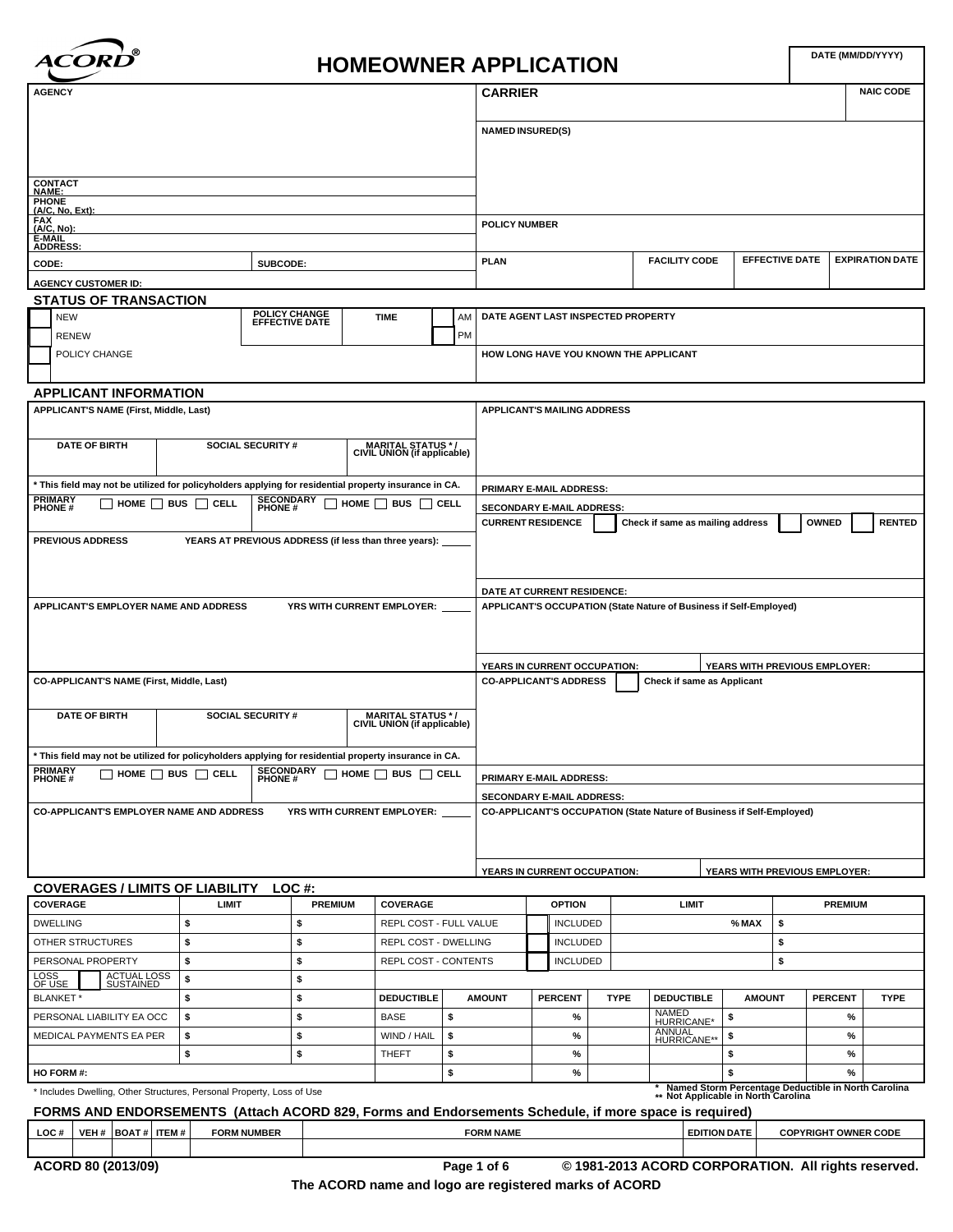

# **HOMEOWNER APPLICATION**

|                                                                                                                                                                                                                           |                    |                                                                                 |                                    |                                                  |                 | <b>CARRIER</b>                                                |                 |             |                                                                                              |               |                               |                | <b>NAIC CODE</b>       |
|---------------------------------------------------------------------------------------------------------------------------------------------------------------------------------------------------------------------------|--------------------|---------------------------------------------------------------------------------|------------------------------------|--------------------------------------------------|-----------------|---------------------------------------------------------------|-----------------|-------------|----------------------------------------------------------------------------------------------|---------------|-------------------------------|----------------|------------------------|
|                                                                                                                                                                                                                           |                    |                                                                                 |                                    |                                                  |                 |                                                               |                 |             |                                                                                              |               |                               |                |                        |
|                                                                                                                                                                                                                           |                    |                                                                                 |                                    |                                                  |                 | <b>NAMED INSURED(S)</b>                                       |                 |             |                                                                                              |               |                               |                |                        |
|                                                                                                                                                                                                                           |                    |                                                                                 |                                    |                                                  |                 |                                                               |                 |             |                                                                                              |               |                               |                |                        |
| <b>CONTACT</b>                                                                                                                                                                                                            |                    |                                                                                 |                                    |                                                  |                 |                                                               |                 |             |                                                                                              |               |                               |                |                        |
| <b>NAME:</b><br><b>PHONE</b><br><u>(A/C, No, Ext):</u>                                                                                                                                                                    |                    |                                                                                 |                                    |                                                  |                 |                                                               |                 |             |                                                                                              |               |                               |                |                        |
| FAX<br>(A/C, No):                                                                                                                                                                                                         |                    |                                                                                 |                                    |                                                  |                 | <b>POLICY NUMBER</b>                                          |                 |             |                                                                                              |               |                               |                |                        |
| E-MAIL<br><b>ADDRESS:</b>                                                                                                                                                                                                 |                    |                                                                                 |                                    |                                                  |                 |                                                               |                 |             |                                                                                              |               |                               |                |                        |
| CODE:                                                                                                                                                                                                                     |                    | SUBCODE:                                                                        |                                    |                                                  |                 | <b>PLAN</b>                                                   |                 |             | <b>FACILITY CODE</b>                                                                         |               | <b>EFFECTIVE DATE</b>         |                | <b>EXPIRATION DATE</b> |
| <b>AGENCY CUSTOMER ID:</b>                                                                                                                                                                                                |                    |                                                                                 |                                    |                                                  |                 |                                                               |                 |             |                                                                                              |               |                               |                |                        |
| <b>STATUS OF TRANSACTION</b>                                                                                                                                                                                              |                    |                                                                                 |                                    |                                                  |                 |                                                               |                 |             |                                                                                              |               |                               |                |                        |
| <b>NEW</b><br><b>RENEW</b>                                                                                                                                                                                                |                    | POLICY CHANGE<br>EFFECTIVE DATE                                                 | <b>TIME</b>                        |                                                  | AM<br><b>PM</b> | DATE AGENT LAST INSPECTED PROPERTY                            |                 |             |                                                                                              |               |                               |                |                        |
| POLICY CHANGE                                                                                                                                                                                                             |                    |                                                                                 |                                    |                                                  |                 |                                                               |                 |             | HOW LONG HAVE YOU KNOWN THE APPLICANT                                                        |               |                               |                |                        |
|                                                                                                                                                                                                                           |                    |                                                                                 |                                    |                                                  |                 |                                                               |                 |             |                                                                                              |               |                               |                |                        |
| <b>APPLICANT INFORMATION</b>                                                                                                                                                                                              |                    |                                                                                 |                                    |                                                  |                 |                                                               |                 |             |                                                                                              |               |                               |                |                        |
| APPLICANT'S NAME (First, Middle, Last)                                                                                                                                                                                    |                    |                                                                                 |                                    |                                                  |                 | <b>APPLICANT'S MAILING ADDRESS</b>                            |                 |             |                                                                                              |               |                               |                |                        |
|                                                                                                                                                                                                                           |                    |                                                                                 |                                    |                                                  |                 |                                                               |                 |             |                                                                                              |               |                               |                |                        |
| <b>DATE OF BIRTH</b>                                                                                                                                                                                                      |                    | <b>SOCIAL SECURITY #</b>                                                        |                                    | MARITAL STATUS */<br>CIVIL UNION (if applicable) |                 |                                                               |                 |             |                                                                                              |               |                               |                |                        |
|                                                                                                                                                                                                                           |                    |                                                                                 |                                    |                                                  |                 |                                                               |                 |             |                                                                                              |               |                               |                |                        |
| * This field may not be utilized for policyholders applying for residential property insurance in CA.<br><b>PRIMARY</b>                                                                                                   |                    |                                                                                 |                                    |                                                  |                 | PRIMARY E-MAIL ADDRESS:                                       |                 |             |                                                                                              |               |                               |                |                        |
| $\Box$ home $\Box$ bus $\Box$ cell<br><b>PHONE#</b>                                                                                                                                                                       |                    | <b>SECONDARY</b><br>PHONE #                                                     | $\Box$ HOME $\Box$ BUS $\Box$ CELL |                                                  |                 | <b>SECONDARY E-MAIL ADDRESS:</b>                              |                 |             |                                                                                              |               |                               | <b>OWNED</b>   | <b>RENTED</b>          |
| <b>PREVIOUS ADDRESS</b>                                                                                                                                                                                                   |                    | YEARS AT PREVIOUS ADDRESS (if less than three years):                           |                                    |                                                  |                 | <b>CURRENT RESIDENCE</b>                                      |                 |             | Check if same as mailing address                                                             |               |                               |                |                        |
|                                                                                                                                                                                                                           |                    |                                                                                 |                                    |                                                  |                 |                                                               |                 |             |                                                                                              |               |                               |                |                        |
|                                                                                                                                                                                                                           |                    |                                                                                 |                                    |                                                  |                 |                                                               |                 |             |                                                                                              |               |                               |                |                        |
|                                                                                                                                                                                                                           |                    |                                                                                 |                                    |                                                  |                 | DATE AT CURRENT RESIDENCE:                                    |                 |             |                                                                                              |               |                               |                |                        |
| APPLICANT'S EMPLOYER NAME AND ADDRESS                                                                                                                                                                                     |                    | YRS WITH CURRENT EMPLOYER:                                                      |                                    |                                                  |                 |                                                               |                 |             | APPLICANT'S OCCUPATION (State Nature of Business if Self-Employed)                           |               |                               |                |                        |
|                                                                                                                                                                                                                           |                    |                                                                                 |                                    |                                                  |                 |                                                               |                 |             |                                                                                              |               |                               |                |                        |
|                                                                                                                                                                                                                           |                    |                                                                                 |                                    |                                                  |                 |                                                               |                 |             |                                                                                              |               |                               |                |                        |
| <b>CO-APPLICANT'S NAME (First, Middle, Last)</b>                                                                                                                                                                          |                    |                                                                                 |                                    |                                                  |                 | YEARS IN CURRENT OCCUPATION:<br><b>CO-APPLICANT'S ADDRESS</b> |                 |             | <b>Check if same as Applicant</b>                                                            |               | YEARS WITH PREVIOUS EMPLOYER: |                |                        |
|                                                                                                                                                                                                                           |                    |                                                                                 |                                    |                                                  |                 |                                                               |                 |             |                                                                                              |               |                               |                |                        |
| <b>DATE OF BIRTH</b>                                                                                                                                                                                                      |                    | <b>SOCIAL SECURITY #</b>                                                        |                                    | MARITAL STATUS */<br>CIVIL UNION (if applicable) |                 |                                                               |                 |             |                                                                                              |               |                               |                |                        |
|                                                                                                                                                                                                                           |                    |                                                                                 |                                    |                                                  |                 |                                                               |                 |             |                                                                                              |               |                               |                |                        |
|                                                                                                                                                                                                                           |                    |                                                                                 |                                    |                                                  |                 |                                                               |                 |             |                                                                                              |               |                               |                |                        |
|                                                                                                                                                                                                                           |                    |                                                                                 |                                    |                                                  |                 |                                                               |                 |             |                                                                                              |               |                               |                |                        |
|                                                                                                                                                                                                                           |                    | $\Box$ HOME $\Box$ BUS $\Box$ CELL SECONDARY $\Box$ HOME $\Box$ BUS $\Box$ CELL |                                    |                                                  |                 | PRIMARY E-MAIL ADDRESS:                                       |                 |             |                                                                                              |               |                               |                |                        |
| * This field may not be utilized for policyholders applying for residential property insurance in CA.<br>PRIMARY<br><b>PHONE#</b>                                                                                         |                    |                                                                                 |                                    |                                                  |                 | SECONDARY E-MAIL ADDRESS:                                     |                 |             |                                                                                              |               |                               |                |                        |
| <b>CO-APPLICANT'S EMPLOYER NAME AND ADDRESS</b>                                                                                                                                                                           |                    | YRS WITH CURRENT EMPLOYER:                                                      |                                    |                                                  |                 |                                                               |                 |             | <b>CO-APPLICANT'S OCCUPATION (State Nature of Business if Self-Employed)</b>                 |               |                               |                |                        |
|                                                                                                                                                                                                                           |                    |                                                                                 |                                    |                                                  |                 |                                                               |                 |             |                                                                                              |               |                               |                |                        |
|                                                                                                                                                                                                                           |                    |                                                                                 |                                    |                                                  |                 |                                                               |                 |             |                                                                                              |               |                               |                |                        |
|                                                                                                                                                                                                                           |                    |                                                                                 |                                    |                                                  |                 | YEARS IN CURRENT OCCUPATION:                                  |                 |             |                                                                                              |               | YEARS WITH PREVIOUS EMPLOYER: |                |                        |
|                                                                                                                                                                                                                           | <b>LIMIT</b>       | <b>PREMIUM</b>                                                                  |                                    | <b>COVERAGE</b>                                  |                 |                                                               | <b>OPTION</b>   |             | LIMIT                                                                                        |               |                               | <b>PREMIUM</b> |                        |
|                                                                                                                                                                                                                           | \$                 | \$                                                                              |                                    | REPL COST - FULL VALUE                           |                 |                                                               | <b>INCLUDED</b> |             |                                                                                              | % MAX         | \$                            |                |                        |
|                                                                                                                                                                                                                           | \$                 | \$                                                                              |                                    | REPL COST - DWELLING                             |                 |                                                               | <b>INCLUDED</b> |             |                                                                                              |               | \$                            |                |                        |
|                                                                                                                                                                                                                           | \$                 | \$                                                                              |                                    | REPL COST - CONTENTS                             |                 |                                                               | <b>INCLUDED</b> |             |                                                                                              |               | \$                            |                |                        |
| ACTUAL LOSS<br>SUSTAINED                                                                                                                                                                                                  | \$                 | \$                                                                              |                                    |                                                  |                 |                                                               |                 |             |                                                                                              |               |                               |                |                        |
|                                                                                                                                                                                                                           | \$                 | \$                                                                              |                                    | <b>DEDUCTIBLE</b>                                |                 | <b>AMOUNT</b>                                                 | <b>PERCENT</b>  | <b>TYPE</b> | <b>DEDUCTIBLE</b>                                                                            | <b>AMOUNT</b> |                               | <b>PERCENT</b> | <b>TYPE</b>            |
|                                                                                                                                                                                                                           | \$                 | \$                                                                              |                                    | <b>BASE</b>                                      | \$              |                                                               | $\%$            |             | NAMED<br>HURRICANE*                                                                          | \$            |                               | $\%$           |                        |
|                                                                                                                                                                                                                           | \$                 | \$                                                                              |                                    | WIND / HAIL                                      | \$              |                                                               | $\%$            |             | ANNUAL<br>HURRICANE**                                                                        | \$            |                               | $\%$           |                        |
|                                                                                                                                                                                                                           | \$                 | \$                                                                              |                                    | <b>THEFT</b>                                     | \$              |                                                               | $\%$            |             |                                                                                              | \$            |                               | %              |                        |
| COVERAGES / LIMITS OF LIABILITY LOC #:<br>COVERAGE<br><b>DWELLING</b><br>OTHER STRUCTURES<br>PERSONAL PROPERTY<br>LOSS<br>OF USE<br><b>BLANKET*</b><br>PERSONAL LIABILITY EA OCC<br>MEDICAL PAYMENTS EA PER<br>HO FORM #: |                    |                                                                                 |                                    |                                                  | \$              |                                                               | $\%$            |             |                                                                                              | \$            |                               | %              |                        |
| * Includes Dwelling, Other Structures, Personal Property, Loss of Use                                                                                                                                                     |                    |                                                                                 |                                    |                                                  |                 |                                                               |                 |             | * Named Storm Percentage Deductible in North Carolina<br>** Not Applicable in North Carolina |               |                               |                |                        |
| FORMS AND ENDORSEMENTS (Attach ACORD 829, Forms and Endorsements Schedule, if more space is required)                                                                                                                     |                    |                                                                                 |                                    |                                                  |                 |                                                               |                 |             |                                                                                              |               |                               |                |                        |
| VEH #   BOAT #   ITEM #<br>LOC#                                                                                                                                                                                           | <b>FORM NUMBER</b> |                                                                                 |                                    |                                                  |                 | <b>FORM NAME</b>                                              |                 |             | <b>EDITION DATE</b>                                                                          |               | <b>COPYRIGHT OWNER CODE</b>   |                |                        |

**The ACORD name and logo are registered marks of ACORD**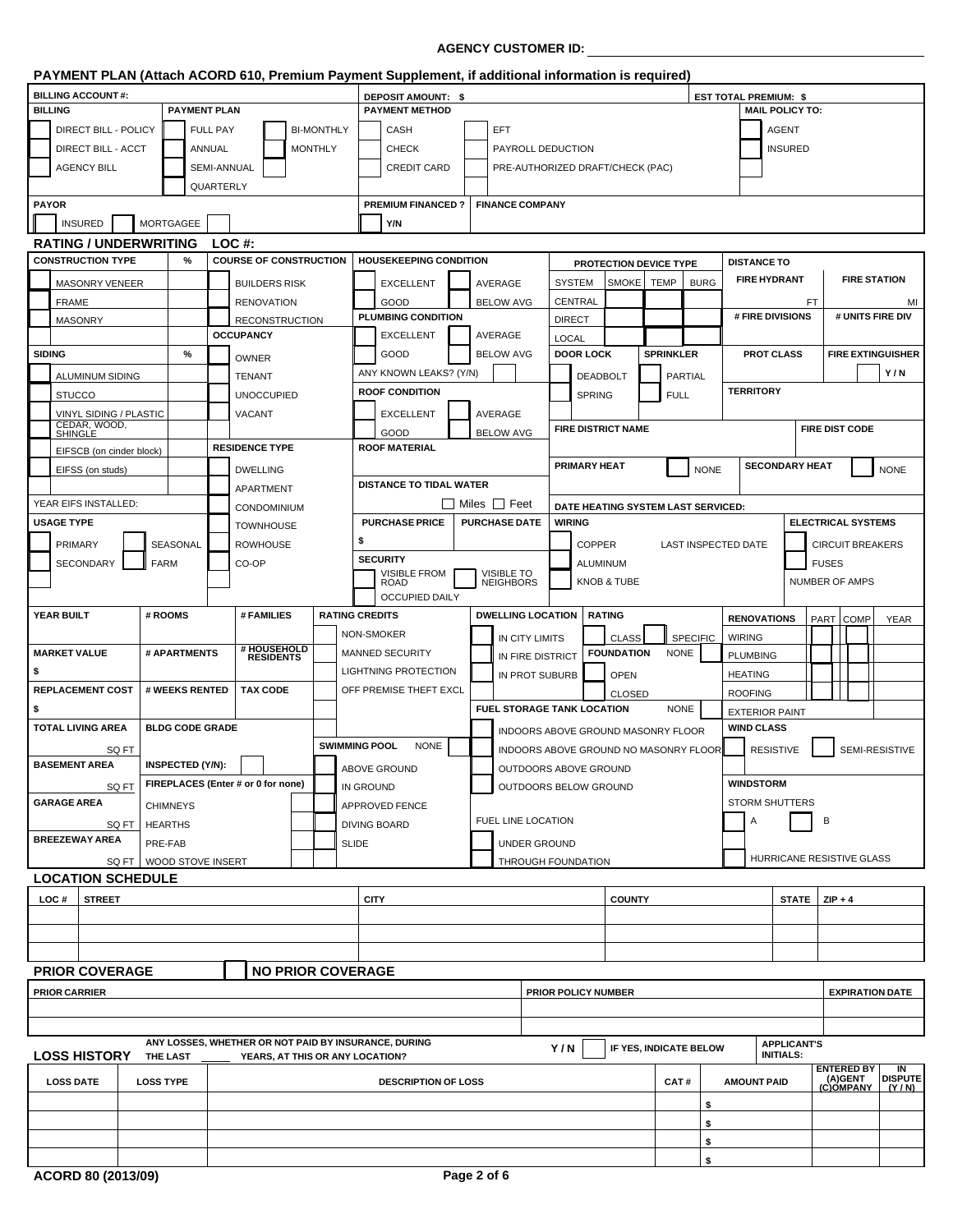# **AGENCY CUSTOMER ID:**

|                                                                         |                           |                         |                 |                                                                                         |                       |                  | PAYMENT PLAN (Attach ACORD 610, Premium Payment Supplement, if additional information is required) |                          |                  |                                   |                                       |                        |                 |             |                              |                                        |              |                           |                          |
|-------------------------------------------------------------------------|---------------------------|-------------------------|-----------------|-----------------------------------------------------------------------------------------|-----------------------|------------------|----------------------------------------------------------------------------------------------------|--------------------------|------------------|-----------------------------------|---------------------------------------|------------------------|-----------------|-------------|------------------------------|----------------------------------------|--------------|---------------------------|--------------------------|
| <b>BILLING ACCOUNT#:</b>                                                |                           |                         |                 |                                                                                         |                       |                  | <b>DEPOSIT AMOUNT: \$</b>                                                                          |                          |                  |                                   |                                       |                        |                 |             | <b>EST TOTAL PREMIUM: \$</b> |                                        |              |                           |                          |
| <b>BILLING</b>                                                          |                           | <b>PAYMENT PLAN</b>     |                 |                                                                                         |                       |                  | <b>PAYMENT METHOD</b>                                                                              |                          |                  |                                   |                                       |                        |                 |             |                              | <b>MAIL POLICY TO:</b>                 |              |                           |                          |
| DIRECT BILL - POLICY                                                    |                           |                         | <b>FULL PAY</b> |                                                                                         | <b>BI-MONTHLY</b>     |                  | CASH                                                                                               | <b>EFT</b>               |                  |                                   |                                       |                        |                 |             |                              | <b>AGENT</b>                           |              |                           |                          |
| DIRECT BILL - ACCT                                                      |                           |                         | ANNUAL          |                                                                                         | <b>MONTHLY</b>        |                  | <b>CHECK</b>                                                                                       |                          |                  | PAYROLL DEDUCTION                 |                                       |                        |                 |             |                              | <b>INSURED</b>                         |              |                           |                          |
| <b>AGENCY BILL</b>                                                      |                           |                         | SEMI-ANNUAL     |                                                                                         |                       |                  | <b>CREDIT CARD</b>                                                                                 |                          |                  |                                   | PRE-AUTHORIZED DRAFT/CHECK (PAC)      |                        |                 |             |                              |                                        |              |                           |                          |
|                                                                         |                           |                         | QUARTERLY       |                                                                                         |                       |                  |                                                                                                    |                          |                  |                                   |                                       |                        |                 |             |                              |                                        |              |                           |                          |
| <b>PAYOR</b>                                                            |                           |                         |                 |                                                                                         |                       |                  | <b>PREMIUM FINANCED?</b>                                                                           | <b>FINANCE COMPANY</b>   |                  |                                   |                                       |                        |                 |             |                              |                                        |              |                           |                          |
| <b>INSURED</b>                                                          |                           | <b>MORTGAGEE</b>        |                 |                                                                                         |                       |                  | Y/N                                                                                                |                          |                  |                                   |                                       |                        |                 |             |                              |                                        |              |                           |                          |
| <b>RATING / UNDERWRITING</b>                                            |                           |                         |                 | LOC#                                                                                    |                       |                  |                                                                                                    |                          |                  |                                   |                                       |                        |                 |             |                              |                                        |              |                           |                          |
| <b>CONSTRUCTION TYPE</b>                                                |                           | $\%$                    |                 | <b>COURSE OF CONSTRUCTION</b>                                                           |                       |                  | <b>HOUSEKEEPING CONDITION</b>                                                                      |                          |                  |                                   | PROTECTION DEVICE TYPE                |                        |                 |             | <b>DISTANCE TO</b>           |                                        |              |                           |                          |
| <b>MASONRY VENEER</b>                                                   |                           |                         |                 | <b>BUILDERS RISK</b>                                                                    |                       |                  | <b>EXCELLENT</b>                                                                                   | AVERAGE                  |                  | <b>SYSTEM</b>                     | <b>SMOKE</b>                          | <b>TEMP</b>            | <b>BURG</b>     |             | <b>FIRE HYDRANT</b>          |                                        |              | <b>FIRE STATION</b>       |                          |
| <b>FRAME</b>                                                            |                           |                         |                 | <b>RENOVATION</b>                                                                       |                       |                  | GOOD                                                                                               | <b>BELOW AVG</b>         |                  | <b>CENTRAL</b>                    |                                       |                        |                 |             |                              |                                        | FT           |                           | MI                       |
| <b>MASONRY</b>                                                          |                           |                         |                 | <b>RECONSTRUCTION</b>                                                                   |                       |                  | <b>PLUMBING CONDITION</b>                                                                          |                          |                  | <b>DIRECT</b>                     |                                       |                        |                 |             | # FIRE DIVISIONS             |                                        |              |                           | # UNITS FIRE DIV         |
|                                                                         |                           |                         |                 | <b>OCCUPANCY</b>                                                                        |                       |                  | <b>EXCELLENT</b>                                                                                   | AVERAGE                  |                  | LOCAL                             |                                       |                        |                 |             |                              |                                        |              |                           |                          |
| <b>SIDING</b>                                                           |                           | $\%$                    |                 | <b>OWNER</b>                                                                            |                       |                  | GOOD                                                                                               | <b>BELOW AVG</b>         |                  | <b>DOOR LOCK</b>                  |                                       | <b>SPRINKLER</b>       |                 |             | <b>PROT CLASS</b>            |                                        |              |                           | <b>FIRE EXTINGUISHER</b> |
| ALUMINUM SIDING                                                         |                           |                         |                 | <b>TENANT</b>                                                                           |                       |                  | ANY KNOWN LEAKS? (Y/N)                                                                             |                          |                  |                                   | <b>DEADBOLT</b>                       |                        | <b>PARTIAL</b>  |             |                              |                                        |              |                           | Y/N                      |
| <b>STUCCO</b>                                                           |                           |                         |                 | <b>UNOCCUPIED</b>                                                                       |                       |                  | <b>ROOF CONDITION</b>                                                                              |                          |                  |                                   | <b>SPRING</b>                         |                        | <b>FULL</b>     |             | <b>TERRITORY</b>             |                                        |              |                           |                          |
|                                                                         |                           |                         |                 | <b>VACANT</b>                                                                           |                       |                  | <b>EXCELLENT</b>                                                                                   | AVERAGE                  |                  |                                   |                                       |                        |                 |             |                              |                                        |              |                           |                          |
| VINYL SIDING / PLASTIC<br>CEDAR, WOOD,<br>SHINGLE                       |                           |                         |                 |                                                                                         |                       |                  |                                                                                                    | <b>BELOW AVG</b>         |                  |                                   | <b>FIRE DISTRICT NAME</b>             |                        |                 |             |                              |                                        |              | <b>FIRE DIST CODE</b>     |                          |
|                                                                         |                           |                         |                 | <b>RESIDENCE TYPE</b>                                                                   |                       |                  | GOOD<br><b>ROOF MATERIAL</b>                                                                       |                          |                  |                                   |                                       |                        |                 |             |                              |                                        |              |                           |                          |
| EIFSCB (on cinder block)                                                |                           |                         |                 |                                                                                         |                       |                  |                                                                                                    |                          |                  | <b>PRIMARY HEAT</b>               |                                       |                        |                 |             |                              | <b>SECONDARY HEAT</b>                  |              |                           |                          |
| EIFSS (on studs)                                                        |                           |                         |                 | <b>DWELLING</b>                                                                         |                       |                  | <b>DISTANCE TO TIDAL WATER</b>                                                                     |                          |                  |                                   |                                       |                        |                 | <b>NONE</b> |                              |                                        |              |                           | <b>NONE</b>              |
| YEAR EIFS INSTALLED:                                                    |                           |                         |                 | APARTMENT                                                                               |                       |                  |                                                                                                    | <b>■ Miles</b> ■ Feet    |                  |                                   |                                       |                        |                 |             |                              |                                        |              |                           |                          |
| <b>USAGE TYPE</b>                                                       |                           |                         |                 | <b>CONDOMINIUM</b>                                                                      |                       |                  | <b>PURCHASE PRICE</b>                                                                              | <b>PURCHASE DATE</b>     |                  | <b>WIRING</b>                     | DATE HEATING SYSTEM LAST SERVICED:    |                        |                 |             |                              |                                        |              | <b>ELECTRICAL SYSTEMS</b> |                          |
|                                                                         |                           |                         |                 | <b>TOWNHOUSE</b>                                                                        |                       |                  |                                                                                                    |                          |                  |                                   |                                       |                        |                 |             |                              |                                        |              |                           |                          |
| <b>PRIMARY</b>                                                          |                           | SEASONAL                |                 | <b>ROWHOUSE</b>                                                                         |                       | \$               |                                                                                                    |                          |                  |                                   | <b>COPPER</b>                         |                        |                 |             | <b>LAST INSPECTED DATE</b>   |                                        |              | <b>CIRCUIT BREAKERS</b>   |                          |
| SECONDARY                                                               |                           | <b>FARM</b>             |                 | CO-OP                                                                                   |                       |                  | <b>SECURITY</b><br><b>VISIBLE FROM</b>                                                             | <b>VISIBLE TO</b>        |                  |                                   | <b>ALUMINUM</b>                       |                        |                 |             |                              |                                        | <b>FUSES</b> |                           |                          |
|                                                                         |                           |                         |                 |                                                                                         |                       |                  | <b>ROAD</b>                                                                                        | <b>NEIGHBORS</b>         |                  |                                   | KNOB & TUBE                           |                        |                 |             |                              |                                        |              | <b>NUMBER OF AMPS</b>     |                          |
|                                                                         |                           |                         |                 |                                                                                         |                       |                  | <b>OCCUPIED DAILY</b>                                                                              |                          |                  |                                   |                                       |                        |                 |             |                              |                                        |              |                           |                          |
| YEAR BUILT                                                              |                           | # ROOMS                 |                 | # FAMILIES                                                                              | <b>RATING CREDITS</b> |                  |                                                                                                    | <b>DWELLING LOCATION</b> |                  |                                   | <b>RATING</b>                         |                        |                 |             | <b>RENOVATIONS</b>           |                                        | PART         | <b>COMP</b>               | <b>YEAR</b>              |
|                                                                         |                           |                         |                 |                                                                                         |                       |                  | NON-SMOKER                                                                                         |                          | IN CITY LIMITS   |                                   | <b>CLASS</b>                          |                        | <b>SPECIFIC</b> |             | <b>WIRING</b>                |                                        |              |                           |                          |
| <b>MARKET VALUE</b>                                                     |                           | # APARTMENTS            |                 | # HOUSEHOLD<br>RESIDENTS                                                                |                       |                  | <b>MANNED SECURITY</b>                                                                             |                          | IN FIRE DISTRICT |                                   | <b>FOUNDATION</b>                     |                        | <b>NONE</b>     |             | <b>PLUMBING</b>              |                                        |              |                           |                          |
| \$                                                                      |                           |                         |                 |                                                                                         |                       |                  | LIGHTNING PROTECTION                                                                               |                          | IN PROT SUBURB   |                                   | <b>OPEN</b>                           |                        |                 |             | <b>HEATING</b>               |                                        |              |                           |                          |
| <b>REPLACEMENT COST</b>                                                 |                           | # WEEKS RENTED          |                 | <b>TAX CODE</b>                                                                         |                       |                  | OFF PREMISE THEFT EXCL                                                                             |                          |                  |                                   | <b>CLOSED</b>                         |                        |                 |             | <b>ROOFING</b>               |                                        |              |                           |                          |
|                                                                         |                           |                         |                 |                                                                                         |                       |                  |                                                                                                    |                          |                  |                                   |                                       |                        |                 |             |                              |                                        |              |                           |                          |
| \$                                                                      |                           |                         |                 |                                                                                         |                       |                  |                                                                                                    |                          |                  | <b>FUEL STORAGE TANK LOCATION</b> |                                       |                        | <b>NONE</b>     |             | <b>EXTERIOR PAINT</b>        |                                        |              |                           |                          |
| <b>TOTAL LIVING AREA</b>                                                |                           | <b>BLDG CODE GRADE</b>  |                 |                                                                                         |                       |                  |                                                                                                    |                          |                  |                                   | INDOORS ABOVE GROUND MASONRY FLOOR    |                        |                 |             | <b>WIND CLASS</b>            |                                        |              |                           |                          |
|                                                                         | SQ FT                     |                         |                 |                                                                                         | <b>SWIMMING POOL</b>  |                  | <b>NONE</b>                                                                                        |                          |                  |                                   | INDOORS ABOVE GROUND NO MASONRY FLOOR |                        |                 |             |                              | <b>RESISTIVE</b>                       |              |                           | SEMI-RESISTIVE           |
| <b>BASEMENT AREA</b>                                                    |                           | <b>INSPECTED (Y/N):</b> |                 |                                                                                         |                       |                  | ABOVE GROUND                                                                                       |                          |                  | OUTDOORS ABOVE GROUND             |                                       |                        |                 |             |                              |                                        |              |                           |                          |
|                                                                         | SQ FT                     |                         |                 | FIREPLACES (Enter # or 0 for none)                                                      |                       | <b>IN GROUND</b> |                                                                                                    |                          |                  |                                   | OUTDOORS BELOW GROUND                 |                        |                 |             | <b>WINDSTORM</b>             |                                        |              |                           |                          |
|                                                                         |                           | <b>CHIMNEYS</b>         |                 |                                                                                         |                       |                  | <b>APPROVED FENCE</b>                                                                              |                          |                  |                                   |                                       |                        |                 |             | <b>STORM SHUTTERS</b>        |                                        |              |                           |                          |
|                                                                         | SQ FT   HEARTHS           |                         |                 |                                                                                         |                       |                  | <b>DIVING BOARD</b>                                                                                | FUEL LINE LOCATION       |                  |                                   |                                       |                        |                 |             | Α                            |                                        | В            |                           |                          |
|                                                                         |                           | PRE-FAB                 |                 |                                                                                         |                       | <b>SLIDE</b>     |                                                                                                    |                          | UNDER GROUND     |                                   |                                       |                        |                 |             |                              |                                        |              |                           |                          |
|                                                                         | SQ FT   WOOD STOVE INSERT |                         |                 |                                                                                         |                       |                  |                                                                                                    |                          |                  | THROUGH FOUNDATION                |                                       |                        |                 |             |                              |                                        |              | HURRICANE RESISTIVE GLASS |                          |
| <b>GARAGE AREA</b><br><b>BREEZEWAY AREA</b><br><b>LOCATION SCHEDULE</b> |                           |                         |                 |                                                                                         |                       |                  |                                                                                                    |                          |                  |                                   |                                       |                        |                 |             |                              |                                        |              |                           |                          |
|                                                                         |                           |                         |                 |                                                                                         |                       |                  |                                                                                                    |                          |                  |                                   |                                       |                        |                 |             |                              |                                        |              |                           |                          |
| LOC #<br><b>STREET</b>                                                  |                           |                         |                 |                                                                                         |                       |                  | <b>CITY</b>                                                                                        |                          |                  |                                   | <b>COUNTY</b>                         |                        |                 |             |                              | STATE $\vert$ ZIP + 4                  |              |                           |                          |
|                                                                         |                           |                         |                 |                                                                                         |                       |                  |                                                                                                    |                          |                  |                                   |                                       |                        |                 |             |                              |                                        |              |                           |                          |
|                                                                         |                           |                         |                 |                                                                                         |                       |                  |                                                                                                    |                          |                  |                                   |                                       |                        |                 |             |                              |                                        |              |                           |                          |
|                                                                         |                           |                         |                 |                                                                                         |                       |                  |                                                                                                    |                          |                  |                                   |                                       |                        |                 |             |                              |                                        |              |                           |                          |
|                                                                         |                           |                         |                 | <b>NO PRIOR COVERAGE</b>                                                                |                       |                  |                                                                                                    |                          |                  |                                   |                                       |                        |                 |             |                              |                                        |              |                           |                          |
|                                                                         |                           |                         |                 |                                                                                         |                       |                  |                                                                                                    |                          |                  |                                   | PRIOR POLICY NUMBER                   |                        |                 |             |                              |                                        |              |                           | <b>EXPIRATION DATE</b>   |
|                                                                         |                           |                         |                 |                                                                                         |                       |                  |                                                                                                    |                          |                  |                                   |                                       |                        |                 |             |                              |                                        |              |                           |                          |
|                                                                         |                           |                         |                 |                                                                                         |                       |                  |                                                                                                    |                          |                  |                                   |                                       |                        |                 |             |                              |                                        |              |                           |                          |
| <b>PRIOR COVERAGE</b><br><b>PRIOR CARRIER</b><br><b>LOSS HISTORY</b>    |                           | THE LAST                |                 | ANY LOSSES, WHETHER OR NOT PAID BY INSURANCE, DURING<br>YEARS, AT THIS OR ANY LOCATION? |                       |                  |                                                                                                    |                          |                  | Y/N                               |                                       | IF YES, INDICATE BELOW |                 |             |                              | <b>APPLICANT'S</b><br><b>INITIALS:</b> |              |                           |                          |
|                                                                         |                           |                         |                 |                                                                                         |                       |                  |                                                                                                    |                          |                  |                                   |                                       |                        |                 |             |                              |                                        |              | <b>ENTERED BY</b>         | $\overline{N}$           |
| <b>LOSS DATE</b>                                                        | <b>LOSS TYPE</b>          |                         |                 |                                                                                         |                       |                  | <b>DESCRIPTION OF LOSS</b>                                                                         |                          |                  |                                   |                                       |                        | CAT#            |             | <b>AMOUNT PAID</b>           |                                        |              | (A)GENT<br>(C)OMPANY      | (Y/N)                    |
|                                                                         |                           |                         |                 |                                                                                         |                       |                  |                                                                                                    |                          |                  |                                   |                                       |                        |                 | \$          |                              |                                        |              |                           | <b>DISPUTE</b>           |
|                                                                         |                           |                         |                 |                                                                                         |                       |                  |                                                                                                    |                          |                  |                                   |                                       |                        |                 | \$          |                              |                                        |              |                           |                          |

l

**\$**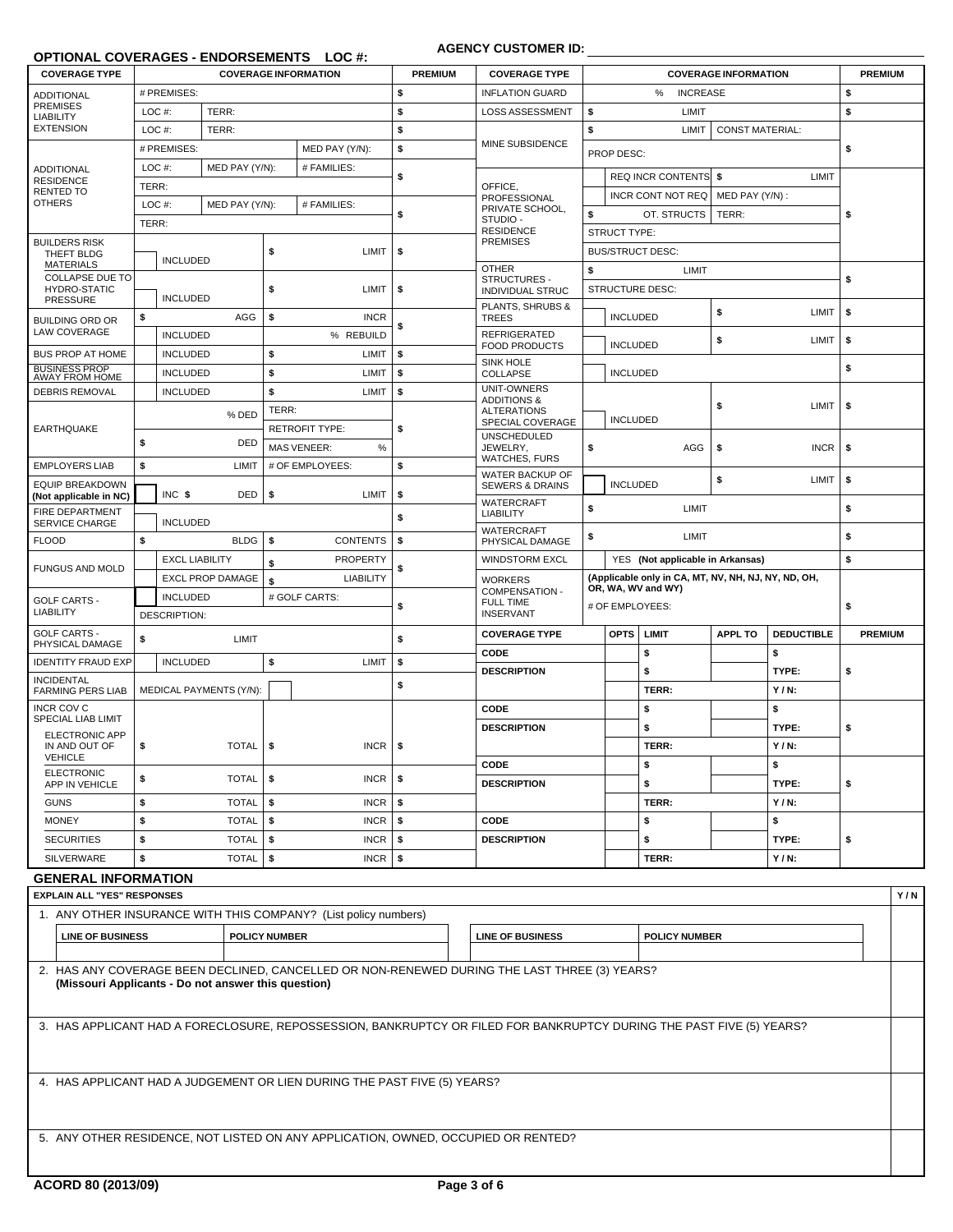# **OPTIONAL COVERAGES - ENDORSEMENTS LOC #:**

# **AGENCY CUSTOMER ID:**

| <b>COVERAGE TYPE</b>                             |       | <b>COVERAGE INFORMATION</b> |                         |                   |                            | <b>PREMIUM</b> | <b>COVERAGE TYPE</b>                     |                                       |                     |                                                     | <b>COVERAGE INFORMATION</b> |                   | <b>PREMIUM</b> |
|--------------------------------------------------|-------|-----------------------------|-------------------------|-------------------|----------------------------|----------------|------------------------------------------|---------------------------------------|---------------------|-----------------------------------------------------|-----------------------------|-------------------|----------------|
| <b>ADDITIONAL</b>                                |       | # PREMISES:                 |                         |                   |                            | \$             | <b>INFLATION GUARD</b>                   |                                       |                     | %<br><b>INCREASE</b>                                |                             |                   | \$             |
| <b>PREMISES</b><br><b>LIABILITY</b>              | LOC#: |                             | TERR:                   |                   |                            | \$             | LOSS ASSESSMENT                          | \$                                    |                     | LIMIT                                               |                             |                   | \$             |
| <b>EXTENSION</b>                                 | LOC#: |                             | TERR:                   |                   |                            | \$             |                                          | \$                                    |                     | LIMIT                                               | <b>CONST MATERIAL:</b>      |                   |                |
|                                                  |       | # PREMISES:                 |                         |                   | MED PAY (Y/N):             | \$             | MINE SUBSIDENCE                          |                                       | PROP DESC:          |                                                     |                             |                   | \$             |
| <b>ADDITIONAL</b><br><b>RESIDENCE</b>            | LOC#: |                             | MED PAY (Y/N):          |                   | # FAMILIES:                | \$             |                                          |                                       |                     | <b>REQ INCR CONTENTS \$</b>                         |                             | LIMIT             |                |
| <b>RENTED TO</b>                                 | TERR: |                             |                         |                   |                            |                | OFFICE,<br>PROFESSIONAL                  |                                       |                     | INCR CONT NOT REQ                                   | MED PAY (Y/N):              |                   |                |
| <b>OTHERS</b>                                    | LOC#: |                             | MED PAY (Y/N):          |                   | # FAMILIES:                | \$             | PRIVATE SCHOOL,                          | \$                                    |                     | OT. STRUCTS                                         | TERR:                       |                   | \$             |
|                                                  | TERR: |                             |                         |                   |                            |                | STUDIO -<br><b>RESIDENCE</b>             |                                       | <b>STRUCT TYPE:</b> |                                                     |                             |                   |                |
| <b>BUILDERS RISK</b><br>THEFT BLDG               |       |                             |                         | \$                | LIMIT                      | \$             | <b>PREMISES</b>                          |                                       |                     | <b>BUS/STRUCT DESC:</b>                             |                             |                   |                |
| <b>MATERIALS</b>                                 |       | <b>INCLUDED</b>             |                         |                   |                            |                | <b>OTHER</b>                             | \$                                    |                     | LIMIT                                               |                             |                   |                |
| <b>COLLAPSE DUE TO</b><br><b>HYDRO-STATIC</b>    |       |                             |                         | \$                | LIMIT                      | \$             | STRUCTURES -<br>INDIVIDUAL STRUC         |                                       |                     | <b>STRUCTURE DESC:</b>                              |                             |                   | \$             |
| <b>PRESSURE</b>                                  |       | <b>INCLUDED</b>             |                         |                   |                            |                | PLANTS, SHRUBS &                         |                                       |                     |                                                     | \$                          | LIMIT             | \$             |
| <b>BUILDING ORD OR</b><br><b>LAW COVERAGE</b>    | \$    |                             | AGG                     | \$                | <b>INCR</b>                | \$             | <b>TREES</b>                             |                                       | <b>INCLUDED</b>     |                                                     |                             |                   |                |
|                                                  |       | <b>INCLUDED</b>             |                         |                   | % REBUILD                  |                | REFRIGERATED<br><b>FOOD PRODUCTS</b>     |                                       | <b>INCLUDED</b>     |                                                     | \$                          | LIMIT             | \$             |
| <b>BUS PROP AT HOME</b>                          |       | <b>INCLUDED</b>             |                         | \$                | LIMIT                      | \$             | <b>SINK HOLE</b>                         |                                       |                     |                                                     |                             |                   | \$             |
| BUSINESS PROP<br>AWAY FROM HOME                  |       | <b>INCLUDED</b>             |                         | \$                | LIMIT                      | \$             | <b>COLLAPSE</b><br>UNIT-OWNERS           |                                       | <b>INCLUDED</b>     |                                                     |                             |                   |                |
| <b>DEBRIS REMOVAL</b>                            |       | <b>INCLUDED</b>             |                         | \$                | LIMIT                      | \$             | <b>ADDITIONS &amp;</b>                   |                                       |                     |                                                     | \$                          | LIMIT             | \$             |
|                                                  |       |                             | % DED                   | TERR:             |                            |                | <b>ALTERATIONS</b><br>SPECIAL COVERAGE   |                                       | <b>INCLUDED</b>     |                                                     |                             |                   |                |
| <b>EARTHQUAKE</b>                                | \$    | DED                         |                         |                   | <b>RETROFIT TYPE:</b>      | \$             | <b>UNSCHEDULED</b>                       |                                       |                     |                                                     |                             |                   |                |
|                                                  |       |                             |                         |                   | $\%$<br><b>MAS VENEER:</b> |                | \$<br>JEWELRY,<br><b>WATCHES, FURS</b>   |                                       |                     | AGG<br>\$                                           |                             | <b>INCR</b>       | \$             |
| <b>EMPLOYERS LIAB</b>                            | \$    |                             | LIMIT                   |                   | # OF EMPLOYEES:            | \$             | WATER BACKUP OF                          |                                       | <b>INCLUDED</b>     |                                                     | \$                          | LIMIT             | \$             |
| <b>EQUIP BREAKDOWN</b><br>(Not applicable in NC) |       | INC \$                      | DED                     | \$                | LIMIT                      | \$             | <b>SEWERS &amp; DRAINS</b><br>WATERCRAFT |                                       |                     |                                                     |                             |                   |                |
| FIRE DEPARTMENT                                  |       |                             |                         |                   |                            | \$             | <b>LIABILITY</b>                         | \$                                    | LIMIT               |                                                     |                             |                   | \$             |
| <b>SERVICE CHARGE</b><br><b>FLOOD</b>            | \$    | <b>INCLUDED</b>             | BLDG                    | \$                | <b>CONTENTS</b>            | \$             | WATERCRAFT                               | \$<br>LIMIT                           |                     |                                                     |                             | \$                |                |
|                                                  |       | <b>EXCL LIABILITY</b>       |                         |                   | <b>PROPERTY</b>            |                | PHYSICAL DAMAGE<br><b>WINDSTORM EXCL</b> |                                       |                     | YES (Not applicable in Arkansas)                    |                             |                   | \$             |
| <b>FUNGUS AND MOLD</b>                           |       |                             | <b>EXCL PROP DAMAGE</b> | \$                | <b>LIABILITY</b>           | \$             |                                          |                                       |                     | (Applicable only in CA, MT, NV, NH, NJ, NY, ND, OH, |                             |                   |                |
|                                                  |       | <b>INCLUDED</b>             |                         | \$                | # GOLF CARTS:              |                | <b>WORKERS</b><br>COMPENSATION -         | OR, WA, WV and WY)<br># OF EMPLOYEES: |                     |                                                     |                             |                   |                |
| <b>GOLF CARTS -</b><br><b>LIABILITY</b>          |       | DESCRIPTION:                |                         |                   |                            | \$             | <b>FULL TIME</b><br><b>INSERVANT</b>     |                                       |                     |                                                     |                             | \$                |                |
| <b>GOLF CARTS -</b>                              |       |                             |                         |                   |                            |                | <b>COVERAGE TYPE</b>                     |                                       | <b>OPTS</b>         | LIMIT                                               | <b>APPL TO</b>              | <b>DEDUCTIBLE</b> | <b>PREMIUM</b> |
| PHYSICAL DAMAGE                                  | \$    |                             | LIMIT                   |                   |                            | \$             | CODE                                     |                                       |                     | \$                                                  |                             | \$                |                |
| <b>IDENTITY FRAUD EXP</b>                        |       | <b>INCLUDED</b>             |                         | \$                | LIMIT                      | \$             | <b>DESCRIPTION</b>                       |                                       |                     | \$                                                  |                             | TYPE:             | \$             |
| <b>INCIDENTAL</b><br><b>FARMING PERS LIAB</b>    |       |                             | MEDICAL PAYMENTS (Y/N): |                   |                            | \$             |                                          |                                       |                     | TERR:                                               |                             | $Y/N$ :           |                |
| <b>INCR COV C</b>                                |       |                             |                         |                   |                            |                | CODE                                     |                                       |                     | \$                                                  |                             | \$                |                |
| SPECIAL LIAB LIMIT<br><b>ELECTRONIC APP</b>      |       |                             |                         |                   |                            |                | <b>DESCRIPTION</b>                       |                                       |                     | \$                                                  |                             | TYPE:             | \$             |
| IN AND OUT OF                                    | \$    |                             | <b>TOTAL</b>            | \$<br><b>INCR</b> |                            | \$             |                                          |                                       |                     | TERR:                                               |                             | $Y/N$ :           |                |
| <b>VEHICLE</b>                                   |       |                             |                         |                   |                            |                | CODE                                     |                                       |                     | \$                                                  |                             | \$                |                |
| <b>ELECTRONIC</b><br>APP IN VEHICLE              | \$    |                             | TOTAL                   | \$                | <b>INCR</b>                | \$             | <b>DESCRIPTION</b>                       |                                       |                     | \$                                                  |                             | TYPE:             | \$             |
| <b>GUNS</b>                                      | \$    |                             | TOTAL                   | \$                | <b>INCR</b>                | \$             |                                          |                                       |                     | TERR:                                               |                             | $Y/N$ :           |                |
| <b>MONEY</b>                                     | \$    |                             | TOTAL                   | \$                | <b>INCR</b>                | \$             | CODE                                     |                                       |                     | \$                                                  |                             | \$                |                |
| <b>SECURITIES</b>                                | \$    |                             | TOTAL                   | \$                | <b>INCR</b>                | \$             | <b>DESCRIPTION</b>                       |                                       |                     | \$                                                  |                             | TYPE:             | \$             |
| <b>SILVERWARE</b>                                | \$    |                             | TOTAL                   | \$                | <b>INCR</b>                | \$             |                                          |                                       |                     | TERR:                                               |                             | $Y/N$ :           |                |
| <b>GENERAL INFORMATION</b>                       |       |                             |                         |                   |                            |                |                                          |                                       |                     |                                                     |                             |                   |                |
| <b>EXPLAIN ALL "YES" RESPONSES</b>               |       |                             |                         |                   |                            |                |                                          |                                       |                     |                                                     |                             |                   | Y/N            |
|                                                  |       |                             |                         |                   |                            |                |                                          |                                       |                     |                                                     |                             |                   |                |

|                                                     | 1. ANY OTHER INSURANCE WITH THIS COMPANY? (List policy numbers)                                                      |                         |                      |  |
|-----------------------------------------------------|----------------------------------------------------------------------------------------------------------------------|-------------------------|----------------------|--|
| <b>LINE OF BUSINESS</b>                             | <b>POLICY NUMBER</b>                                                                                                 | <b>LINE OF BUSINESS</b> | <b>POLICY NUMBER</b> |  |
|                                                     |                                                                                                                      |                         |                      |  |
| (Missouri Applicants - Do not answer this question) | 2. HAS ANY COVERAGE BEEN DECLINED, CANCELLED OR NON-RENEWED DURING THE LAST THREE (3) YEARS?                         |                         |                      |  |
|                                                     | 3. HAS APPLICANT HAD A FORECLOSURE, REPOSSESSION, BANKRUPTCY OR FILED FOR BANKRUPTCY DURING THE PAST FIVE (5) YEARS? |                         |                      |  |
|                                                     | 4. HAS APPLICANT HAD A JUDGEMENT OR LIEN DURING THE PAST FIVE (5) YEARS?                                             |                         |                      |  |
|                                                     | 5. ANY OTHER RESIDENCE, NOT LISTED ON ANY APPLICATION, OWNED, OCCUPIED OR RENTED?                                    |                         |                      |  |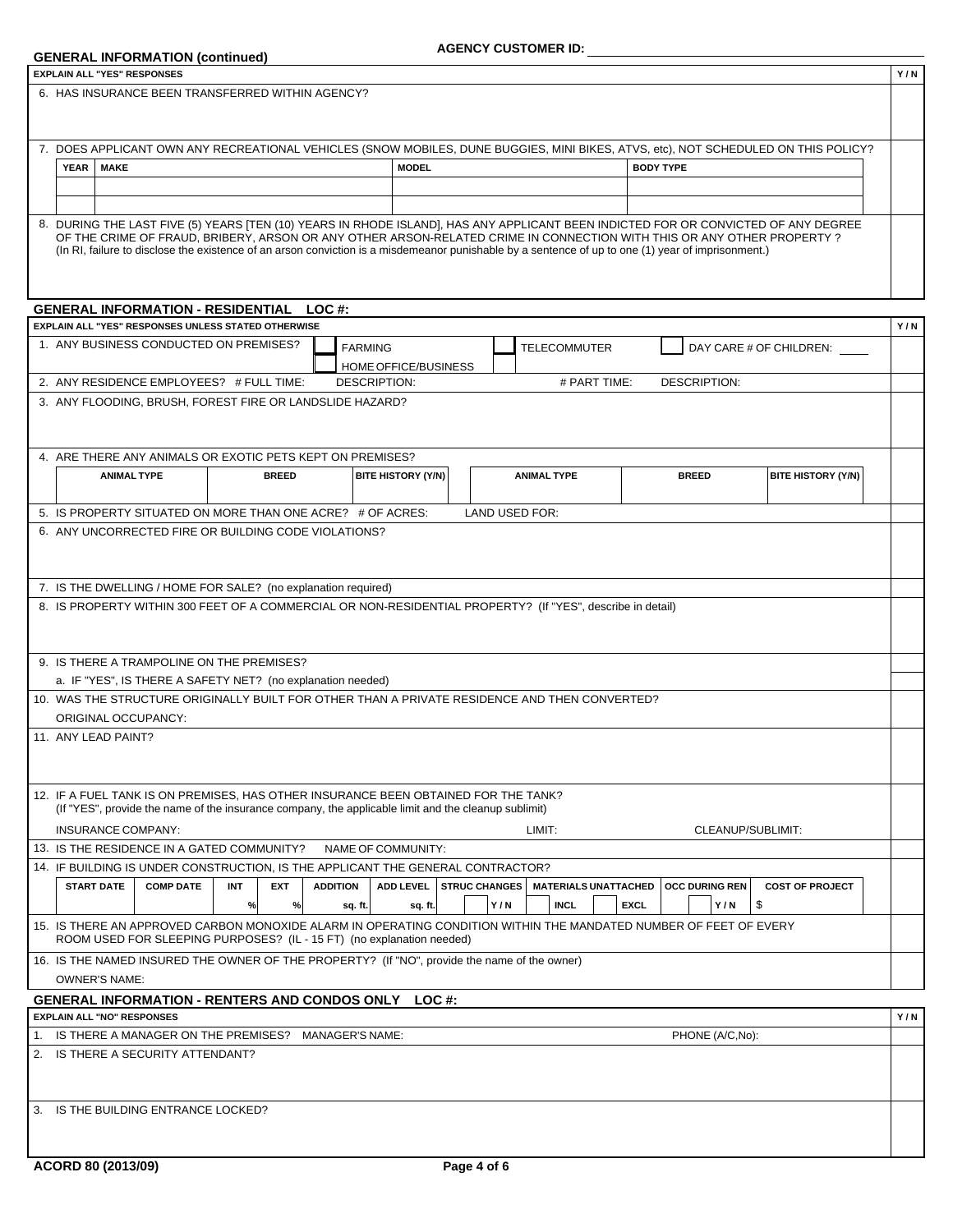| <b>GENERAL INFORMATION (continued)</b>                                                                                                                                                                                                                                      |                           | <b>AGENCY CUSTOMER ID:</b> |                                      |                       |                           |     |
|-----------------------------------------------------------------------------------------------------------------------------------------------------------------------------------------------------------------------------------------------------------------------------|---------------------------|----------------------------|--------------------------------------|-----------------------|---------------------------|-----|
| <b>EXPLAIN ALL "YES" RESPONSES</b>                                                                                                                                                                                                                                          |                           |                            |                                      |                       |                           | Y/N |
| 6. HAS INSURANCE BEEN TRANSFERRED WITHIN AGENCY?                                                                                                                                                                                                                            |                           |                            |                                      |                       |                           |     |
|                                                                                                                                                                                                                                                                             |                           |                            |                                      |                       |                           |     |
|                                                                                                                                                                                                                                                                             |                           |                            |                                      |                       |                           |     |
| 7. DOES APPLICANT OWN ANY RECREATIONAL VEHICLES (SNOW MOBILES, DUNE BUGGIES, MINI BIKES, ATVS, etc), NOT SCHEDULED ON THIS POLICY?                                                                                                                                          |                           |                            |                                      |                       |                           |     |
| <b>MAKE</b><br><b>YEAR</b>                                                                                                                                                                                                                                                  |                           | <b>MODEL</b>               |                                      | <b>BODY TYPE</b>      |                           |     |
|                                                                                                                                                                                                                                                                             |                           |                            |                                      |                       |                           |     |
|                                                                                                                                                                                                                                                                             |                           |                            |                                      |                       |                           |     |
| 8. DURING THE LAST FIVE (5) YEARS [TEN (10) YEARS IN RHODE ISLAND], HAS ANY APPLICANT BEEN INDICTED FOR OR CONVICTED OF ANY DEGREE                                                                                                                                          |                           |                            |                                      |                       |                           |     |
| OF THE CRIME OF FRAUD, BRIBERY, ARSON OR ANY OTHER ARSON-RELATED CRIME IN CONNECTION WITH THIS OR ANY OTHER PROPERTY?<br>(In RI, failure to disclose the existence of an arson conviction is a misdemeanor punishable by a sentence of up to one (1) year of imprisonment.) |                           |                            |                                      |                       |                           |     |
|                                                                                                                                                                                                                                                                             |                           |                            |                                      |                       |                           |     |
|                                                                                                                                                                                                                                                                             |                           |                            |                                      |                       |                           |     |
| <b>GENERAL INFORMATION - RESIDENTIAL LOC#:</b>                                                                                                                                                                                                                              |                           |                            |                                      |                       |                           |     |
| EXPLAIN ALL "YES" RESPONSES UNLESS STATED OTHERWISE                                                                                                                                                                                                                         |                           |                            |                                      |                       |                           | Y/N |
| 1. ANY BUSINESS CONDUCTED ON PREMISES?                                                                                                                                                                                                                                      | <b>FARMING</b>            |                            | <b>TELECOMMUTER</b>                  |                       | DAY CARE # OF CHILDREN:   |     |
|                                                                                                                                                                                                                                                                             |                           | HOME OFFICE/BUSINESS       |                                      |                       |                           |     |
| 2. ANY RESIDENCE EMPLOYEES? # FULL TIME:                                                                                                                                                                                                                                    | <b>DESCRIPTION:</b>       |                            | # PART TIME:                         | <b>DESCRIPTION:</b>   |                           |     |
| 3. ANY FLOODING, BRUSH, FOREST FIRE OR LANDSLIDE HAZARD?                                                                                                                                                                                                                    |                           |                            |                                      |                       |                           |     |
|                                                                                                                                                                                                                                                                             |                           |                            |                                      |                       |                           |     |
|                                                                                                                                                                                                                                                                             |                           |                            |                                      |                       |                           |     |
| 4. ARE THERE ANY ANIMALS OR EXOTIC PETS KEPT ON PREMISES?                                                                                                                                                                                                                   |                           |                            |                                      |                       |                           |     |
| <b>ANIMAL TYPE</b><br><b>BREED</b>                                                                                                                                                                                                                                          | <b>BITE HISTORY (Y/N)</b> |                            | <b>ANIMAL TYPE</b>                   | <b>BREED</b>          | <b>BITE HISTORY (Y/N)</b> |     |
|                                                                                                                                                                                                                                                                             |                           |                            |                                      |                       |                           |     |
| 5. IS PROPERTY SITUATED ON MORE THAN ONE ACRE? # OF ACRES:                                                                                                                                                                                                                  |                           |                            | LAND USED FOR:                       |                       |                           |     |
| 6. ANY UNCORRECTED FIRE OR BUILDING CODE VIOLATIONS?                                                                                                                                                                                                                        |                           |                            |                                      |                       |                           |     |
|                                                                                                                                                                                                                                                                             |                           |                            |                                      |                       |                           |     |
|                                                                                                                                                                                                                                                                             |                           |                            |                                      |                       |                           |     |
|                                                                                                                                                                                                                                                                             |                           |                            |                                      |                       |                           |     |
|                                                                                                                                                                                                                                                                             |                           |                            |                                      |                       |                           |     |
| 7. IS THE DWELLING / HOME FOR SALE? (no explanation required)                                                                                                                                                                                                               |                           |                            |                                      |                       |                           |     |
| 8. IS PROPERTY WITHIN 300 FEET OF A COMMERCIAL OR NON-RESIDENTIAL PROPERTY? (If "YES", describe in detail)                                                                                                                                                                  |                           |                            |                                      |                       |                           |     |
|                                                                                                                                                                                                                                                                             |                           |                            |                                      |                       |                           |     |
| 9. IS THERE A TRAMPOLINE ON THE PREMISES?                                                                                                                                                                                                                                   |                           |                            |                                      |                       |                           |     |
| a. IF "YES", IS THERE A SAFETY NET? (no explanation needed)                                                                                                                                                                                                                 |                           |                            |                                      |                       |                           |     |
| 10. WAS THE STRUCTURE ORIGINALLY BUILT FOR OTHER THAN A PRIVATE RESIDENCE AND THEN CONVERTED?                                                                                                                                                                               |                           |                            |                                      |                       |                           |     |
| ORIGINAL OCCUPANCY:                                                                                                                                                                                                                                                         |                           |                            |                                      |                       |                           |     |
| 11. ANY LEAD PAINT?                                                                                                                                                                                                                                                         |                           |                            |                                      |                       |                           |     |
|                                                                                                                                                                                                                                                                             |                           |                            |                                      |                       |                           |     |
|                                                                                                                                                                                                                                                                             |                           |                            |                                      |                       |                           |     |
|                                                                                                                                                                                                                                                                             |                           |                            |                                      |                       |                           |     |
| 12. IF A FUEL TANK IS ON PREMISES. HAS OTHER INSURANCE BEEN OBTAINED FOR THE TANK?<br>(If "YES", provide the name of the insurance company, the applicable limit and the cleanup sublimit)                                                                                  |                           |                            |                                      |                       |                           |     |
|                                                                                                                                                                                                                                                                             |                           |                            |                                      |                       |                           |     |
| <b>INSURANCE COMPANY:</b>                                                                                                                                                                                                                                                   |                           |                            | LIMIT:                               | CLEANUP/SUBLIMIT:     |                           |     |
| 13. IS THE RESIDENCE IN A GATED COMMUNITY?                                                                                                                                                                                                                                  | NAME OF COMMUNITY:        |                            |                                      |                       |                           |     |
| <b>INT</b>                                                                                                                                                                                                                                                                  | <b>ADDITION</b>           |                            |                                      |                       |                           |     |
| 14. IF BUILDING IS UNDER CONSTRUCTION, IS THE APPLICANT THE GENERAL CONTRACTOR?<br><b>START DATE</b><br><b>COMP DATE</b><br><b>EXT</b>                                                                                                                                      | <b>ADD LEVEL</b>          |                            | STRUC CHANGES   MATERIALS UNATTACHED | <b>OCC DURING REN</b> | <b>COST OF PROJECT</b>    |     |
| %<br>$\%$                                                                                                                                                                                                                                                                   | sq. ft.                   | sq. ft.                    | Y/N<br><b>INCL</b>                   | <b>EXCL</b><br>Y/N    | \$                        |     |
| ROOM USED FOR SLEEPING PURPOSES? (IL - 15 FT) (no explanation needed)                                                                                                                                                                                                       |                           |                            |                                      |                       |                           |     |
|                                                                                                                                                                                                                                                                             |                           |                            |                                      |                       |                           |     |
|                                                                                                                                                                                                                                                                             |                           |                            |                                      |                       |                           |     |
| 15. IS THERE AN APPROVED CARBON MONOXIDE ALARM IN OPERATING CONDITION WITHIN THE MANDATED NUMBER OF FEET OF EVERY<br>16. IS THE NAMED INSURED THE OWNER OF THE PROPERTY? (If "NO", provide the name of the owner)<br><b>OWNER'S NAME:</b>                                   |                           |                            |                                      |                       |                           |     |
| <b>GENERAL INFORMATION - RENTERS AND CONDOS ONLY LOC #:</b>                                                                                                                                                                                                                 |                           |                            |                                      |                       |                           |     |
| <b>EXPLAIN ALL "NO" RESPONSES</b>                                                                                                                                                                                                                                           |                           |                            |                                      |                       |                           | Y/N |
| 1. IS THERE A MANAGER ON THE PREMISES? MANAGER'S NAME:                                                                                                                                                                                                                      |                           |                            |                                      | PHONE (A/C,No):       |                           |     |
| 2. IS THERE A SECURITY ATTENDANT?                                                                                                                                                                                                                                           |                           |                            |                                      |                       |                           |     |
|                                                                                                                                                                                                                                                                             |                           |                            |                                      |                       |                           |     |
| 3. IS THE BUILDING ENTRANCE LOCKED?                                                                                                                                                                                                                                         |                           |                            |                                      |                       |                           |     |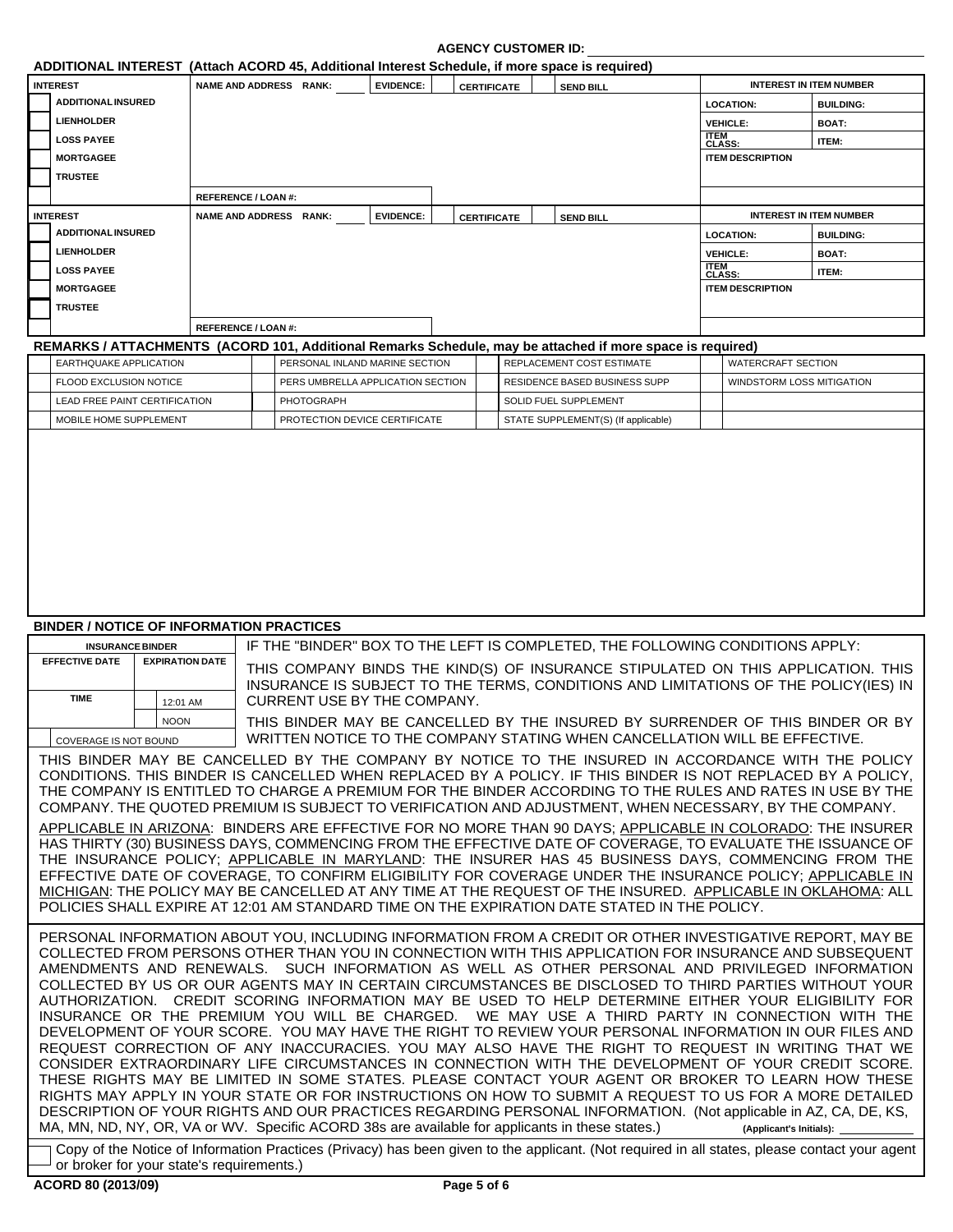|                                                 |                        |                            |                   |                                   |                    | ADDITIONAL INTEREST (Attach ACORD 45, Additional Interest Schedule, if more space is required)                                                                                                                                                                                                                                                                                                                                                                                                                                                                                                                                                               |                         |                                |  |
|-------------------------------------------------|------------------------|----------------------------|-------------------|-----------------------------------|--------------------|--------------------------------------------------------------------------------------------------------------------------------------------------------------------------------------------------------------------------------------------------------------------------------------------------------------------------------------------------------------------------------------------------------------------------------------------------------------------------------------------------------------------------------------------------------------------------------------------------------------------------------------------------------------|-------------------------|--------------------------------|--|
| <b>INTEREST</b>                                 |                        | NAME AND ADDRESS RANK:     |                   | <b>EVIDENCE:</b>                  | <b>CERTIFICATE</b> | <b>SEND BILL</b>                                                                                                                                                                                                                                                                                                                                                                                                                                                                                                                                                                                                                                             |                         | <b>INTEREST IN ITEM NUMBER</b> |  |
| <b>ADDITIONAL INSURED</b>                       |                        |                            |                   |                                   |                    |                                                                                                                                                                                                                                                                                                                                                                                                                                                                                                                                                                                                                                                              | <b>LOCATION:</b>        | <b>BUILDING:</b>               |  |
| <b>LIENHOLDER</b>                               |                        |                            |                   |                                   |                    |                                                                                                                                                                                                                                                                                                                                                                                                                                                                                                                                                                                                                                                              | <b>VEHICLE:</b>         | <b>BOAT:</b>                   |  |
| <b>LOSS PAYEE</b>                               |                        |                            |                   |                                   |                    |                                                                                                                                                                                                                                                                                                                                                                                                                                                                                                                                                                                                                                                              | <b>ITEM<br/>CLASS:</b>  | ITEM:                          |  |
| <b>MORTGAGEE</b>                                |                        |                            |                   |                                   |                    |                                                                                                                                                                                                                                                                                                                                                                                                                                                                                                                                                                                                                                                              | <b>ITEM DESCRIPTION</b> |                                |  |
| <b>TRUSTEE</b>                                  |                        |                            |                   |                                   |                    |                                                                                                                                                                                                                                                                                                                                                                                                                                                                                                                                                                                                                                                              |                         |                                |  |
|                                                 |                        | <b>REFERENCE / LOAN #:</b> |                   |                                   |                    |                                                                                                                                                                                                                                                                                                                                                                                                                                                                                                                                                                                                                                                              |                         |                                |  |
| <b>INTEREST</b>                                 |                        | NAME AND ADDRESS RANK:     |                   | <b>EVIDENCE:</b>                  | <b>CERTIFICATE</b> | <b>SEND BILL</b>                                                                                                                                                                                                                                                                                                                                                                                                                                                                                                                                                                                                                                             |                         | <b>INTEREST IN ITEM NUMBER</b> |  |
| <b>ADDITIONAL INSURED</b>                       |                        |                            |                   |                                   |                    |                                                                                                                                                                                                                                                                                                                                                                                                                                                                                                                                                                                                                                                              | <b>LOCATION:</b>        | <b>BUILDING:</b>               |  |
| <b>LIENHOLDER</b>                               |                        |                            |                   |                                   |                    |                                                                                                                                                                                                                                                                                                                                                                                                                                                                                                                                                                                                                                                              | <b>VEHICLE:</b>         | <b>BOAT:</b>                   |  |
| <b>LOSS PAYEE</b>                               |                        |                            |                   |                                   |                    |                                                                                                                                                                                                                                                                                                                                                                                                                                                                                                                                                                                                                                                              | <b>ITEM<br/>CLASS:</b>  | ITEM:                          |  |
| <b>MORTGAGEE</b>                                |                        |                            |                   |                                   |                    |                                                                                                                                                                                                                                                                                                                                                                                                                                                                                                                                                                                                                                                              | <b>ITEM DESCRIPTION</b> |                                |  |
| <b>TRUSTEE</b>                                  |                        |                            |                   |                                   |                    |                                                                                                                                                                                                                                                                                                                                                                                                                                                                                                                                                                                                                                                              |                         |                                |  |
|                                                 |                        | REFERENCE / LOAN #:        |                   |                                   |                    |                                                                                                                                                                                                                                                                                                                                                                                                                                                                                                                                                                                                                                                              |                         |                                |  |
|                                                 |                        |                            |                   |                                   |                    | REMARKS / ATTACHMENTS (ACORD 101, Additional Remarks Schedule, may be attached if more space is required)                                                                                                                                                                                                                                                                                                                                                                                                                                                                                                                                                    |                         |                                |  |
| <b>EARTHQUAKE APPLICATION</b>                   |                        |                            |                   | PERSONAL INLAND MARINE SECTION    |                    | REPLACEMENT COST ESTIMATE                                                                                                                                                                                                                                                                                                                                                                                                                                                                                                                                                                                                                                    | WATERCRAFT SECTION      |                                |  |
| FLOOD EXCLUSION NOTICE                          |                        |                            |                   | PERS UMBRELLA APPLICATION SECTION |                    | <b>RESIDENCE BASED BUSINESS SUPP</b>                                                                                                                                                                                                                                                                                                                                                                                                                                                                                                                                                                                                                         |                         | WINDSTORM LOSS MITIGATION      |  |
| <b>LEAD FREE PAINT CERTIFICATION</b>            |                        |                            | <b>PHOTOGRAPH</b> |                                   |                    | <b>SOLID FUEL SUPPLEMENT</b>                                                                                                                                                                                                                                                                                                                                                                                                                                                                                                                                                                                                                                 |                         |                                |  |
| MOBILE HOME SUPPLEMENT                          |                        |                            |                   | PROTECTION DEVICE CERTIFICATE     |                    | STATE SUPPLEMENT(S) (If applicable)                                                                                                                                                                                                                                                                                                                                                                                                                                                                                                                                                                                                                          |                         |                                |  |
|                                                 |                        |                            |                   |                                   |                    |                                                                                                                                                                                                                                                                                                                                                                                                                                                                                                                                                                                                                                                              |                         |                                |  |
|                                                 |                        |                            |                   |                                   |                    |                                                                                                                                                                                                                                                                                                                                                                                                                                                                                                                                                                                                                                                              |                         |                                |  |
| <b>BINDER / NOTICE OF INFORMATION PRACTICES</b> |                        |                            |                   |                                   |                    |                                                                                                                                                                                                                                                                                                                                                                                                                                                                                                                                                                                                                                                              |                         |                                |  |
| <b>INSURANCE BINDER</b>                         |                        |                            |                   |                                   |                    | IF THE "BINDER" BOX TO THE LEFT IS COMPLETED, THE FOLLOWING CONDITIONS APPLY:                                                                                                                                                                                                                                                                                                                                                                                                                                                                                                                                                                                |                         |                                |  |
| <b>EFFECTIVE DATE</b>                           | <b>EXPIRATION DATE</b> |                            |                   |                                   |                    | THIS COMPANY BINDS THE KIND(S) OF INSURANCE STIPULATED ON THIS APPLICATION. THIS<br>INSURANCE IS SUBJECT TO THE TERMS, CONDITIONS AND LIMITATIONS OF THE POLICY(IES) IN                                                                                                                                                                                                                                                                                                                                                                                                                                                                                      |                         |                                |  |
| <b>TIME</b>                                     | 12:01 AM               |                            |                   | CURRENT USE BY THE COMPANY.       |                    |                                                                                                                                                                                                                                                                                                                                                                                                                                                                                                                                                                                                                                                              |                         |                                |  |
|                                                 | NOON                   |                            |                   |                                   |                    | THIS BINDER MAY BE CANCELLED BY THE INSURED BY SURRENDER OF THIS BINDER OR BY                                                                                                                                                                                                                                                                                                                                                                                                                                                                                                                                                                                |                         |                                |  |
| <b>COVERAGE IS NOT BOUND</b>                    |                        |                            |                   |                                   |                    | WRITTEN NOTICE TO THE COMPANY STATING WHEN CANCELLATION WILL BE EFFECTIVE.                                                                                                                                                                                                                                                                                                                                                                                                                                                                                                                                                                                   |                         |                                |  |
|                                                 |                        |                            |                   |                                   |                    | THIS BINDER MAY BE CANCELLED BY THE COMPANY BY NOTICE TO THE INSURED IN ACCORDANCE WITH THE POLICY<br>CONDITIONS. THIS BINDER IS CANCELLED WHEN REPLACED BY A POLICY. IF THIS BINDER IS NOT REPLACED BY A POLICY,<br>THE COMPANY IS ENTITLED TO CHARGE A PREMIUM FOR THE BINDER ACCORDING TO THE RULES AND RATES IN USE BY THE<br>COMPANY. THE QUOTED PREMIUM IS SUBJECT TO VERIFICATION AND ADJUSTMENT, WHEN NECESSARY, BY THE COMPANY.                                                                                                                                                                                                                     |                         |                                |  |
|                                                 |                        |                            |                   |                                   |                    | APPLICABLE IN ARIZONA: BINDERS ARE EFFECTIVE FOR NO MORE THAN 90 DAYS; APPLICABLE IN COLORADO: THE INSURER<br>HAS THIRTY (30) BUSINESS DAYS, COMMENCING FROM THE EFFECTIVE DATE OF COVERAGE, TO EVALUATE THE ISSUANCE OF<br>THE INSURANCE POLICY; APPLICABLE IN MARYLAND: THE INSURER HAS 45 BUSINESS DAYS, COMMENCING FROM THE<br>EFFECTIVE DATE OF COVERAGE, TO CONFIRM ELIGIBILITY FOR COVERAGE UNDER THE INSURANCE POLICY; APPLICABLE IN<br>MICHIGAN: THE POLICY MAY BE CANCELLED AT ANY TIME AT THE REQUEST OF THE INSURED. APPLICABLE IN OKLAHOMA: ALL<br>POLICIES SHALL EXPIRE AT 12:01 AM STANDARD TIME ON THE EXPIRATION DATE STATED IN THE POLICY. |                         |                                |  |

MA, MN, ND, NY, OR, VA or WV. Specific ACORD 38s are available for applicants in these states.) INSURANCE OR THE PREMIUM YOU WILL BE CHARGED. WE MAY USE A THIRD PARTY IN CONNECTION WITH THE DEVELOPMENT OF YOUR SCORE. YOU MAY HAVE THE RIGHT TO REVIEW YOUR PERSONAL INFORMATION IN OUR FILES AND REQUEST CORRECTION OF ANY INACCURACIES. YOU MAY ALSO HAVE THE RIGHT TO REQUEST IN WRITING THAT WE CONSIDER EXTRAORDINARY LIFE CIRCUMSTANCES IN CONNECTION WITH THE DEVELOPMENT OF YOUR CREDIT SCORE. THESE RIGHTS MAY BE LIMITED IN SOME STATES. PLEASE CONTACT YOUR AGENT OR BROKER TO LEARN HOW THESE RIGHTS MAY APPLY IN YOUR STATE OR FOR INSTRUCTIONS ON HOW TO SUBMIT A REQUEST TO US FOR A MORE DETAILED DESCRIPTION OF YOUR RIGHTS AND OUR PRACTICES REGARDING PERSONAL INFORMATION. (Not applicable in AZ, CA, DE, KS, **(Applicant's Initials):**

Copy of the Notice of Information Practices (Privacy) has been given to the applicant. (Not required in all states, please contact your agent or broker for your state's requirements.)